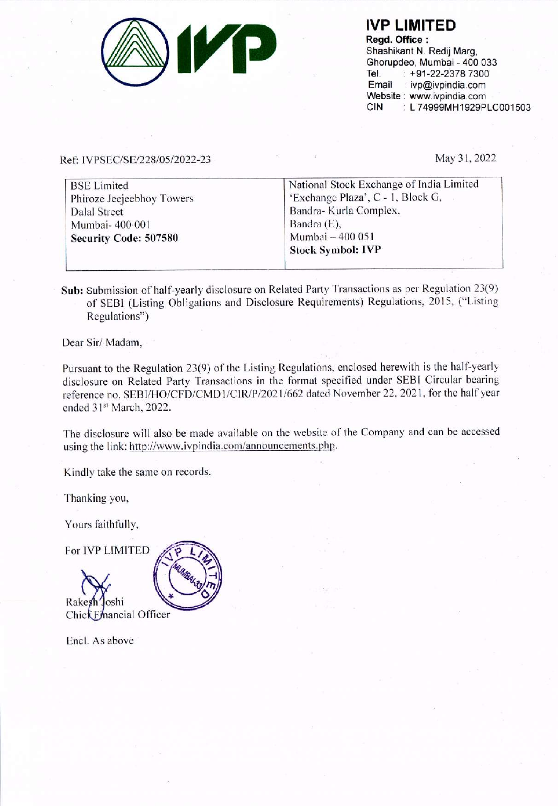

IVP LIMITED Regd. Office : Shashikant N. Redij Marg, Ghorupdeo, Mumbai - 400 033 Tel. +91-22-2378 7300 Email : ivp@ivpindia.com Website : www.ivpindia.com CIN : L 74999MH1929PLC001503

| <b>IVP</b>                                                                                                  | <b>IVP LIMITED</b><br>Regd. Office:<br>Shashikant N. Redij Marg,<br>Ghorupdeo, Mumbai - 400 033<br>Tel.<br>$\div$ +91-22-2378 7300<br>Email<br>: ivp@ivpindia.com<br>Website: www.ivpindia.com<br><b>CIN</b><br>: L74999MH1929PLC0 |
|-------------------------------------------------------------------------------------------------------------|------------------------------------------------------------------------------------------------------------------------------------------------------------------------------------------------------------------------------------|
| Ref: IVPSEC/SE/228/05/2022-23                                                                               | May 31, 2022                                                                                                                                                                                                                       |
| <b>BSE</b> Limited<br>Phiroze Jeejeebhoy Towers<br>Dalal Street<br>Mumbai- 400 001<br>Security Code: 507580 | National Stock Exchange of India Limited<br>'Exchange Plaza', C - 1, Block G,<br>Bandra- Kurla Complex,<br>Bandra (E),<br>Mumbai - 400 051<br><b>Stock Symbol: IVP</b>                                                             |

Sub: Submission of half-yearly disclosure on Related Party Transactions as per Regulation 23(9) of SEBI (Listing Obligations and Disclosure Requirements) Regulations, 2015, ("Listing Regulations")

Dear Sir/ Madam,

Pursuant to the Regulation 23(9) of the Listing Regulations, enclosed herewith is the half-yearly disclosure on Related Party Transactions in the format specified under SEBI Circular bearing reference no. SEBI/HO/CFD/CMD 1/CIR/P/202 1/662 dated November 22, 2021, for the half year ended 31% March, 2022.

The disclosure will also be made available on the website of the Company and can be accessed using the link: http://www.ivpindia.com/announcements.php.

Kindly take the same on records.

~

™  $\overline{\phantom{a}}$ 

 $\mathbf{O}$ 

Thanking you,

Yours faithfully,

For IVP LIMITED

Rakesh<sup>1</sup>oshi Chie Emancial Officer

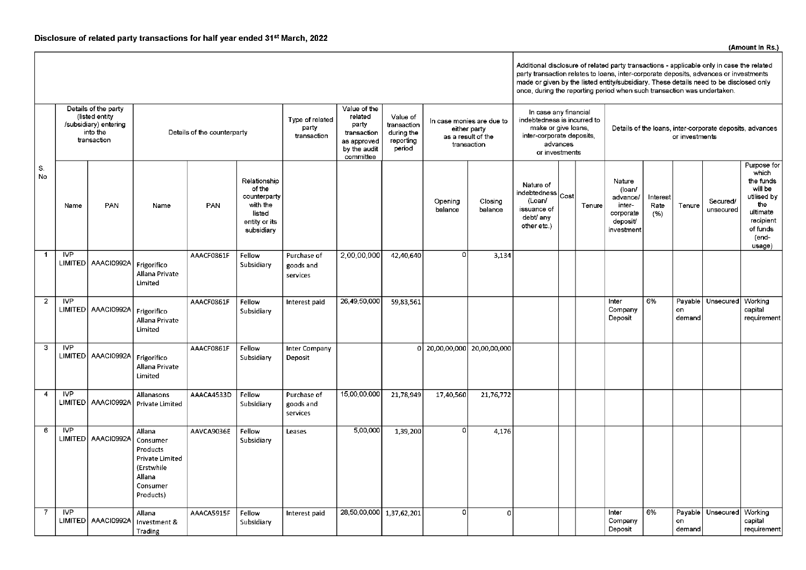Additional disclosure of related party transactions - applicable only in case the related party transaction relates to loans, inter-corporate deposits, advances or investments made or given by the listed entity/subsidiary. These details need to be disclosed only osure of related party transactions for half year ended 31<sup>st</sup> March, 2022<br>
(listed entity<br>
(listed entity)<br>
into the<br>
into the counterparty<br>
into the counterparty<br>
(listed entity)<br>
(listed of the counterparty)<br>
into the<br> once, during the reporting period when such transaction was undertaken. Disclosure of related party transactions for half year ended 31<sup>41</sup> March, 2022<br>
<br>
<br>
(stated entity<br>
(stated entity<br>
(stated entity)<br>
(stated entity)<br>
(stated entity)<br>
(belies of the party<br>
(stated entity)<br>
(belies of the Disclosure of related party transactions for half year ended 31<sup>st</sup> March, 2022<br>
(lists of the party<br>
(lists of the party<br>
(lists of the party<br>
(lists of the party<br>
relations)<br>
Type of related<br>
(value of the party<br>
relatio Disclosure of related party transactions for half year ended 31<sup>4t</sup> March, 2022<br>
Units of the party<br>
year and the party<br>
year of the party<br>
year of the party<br>
year of the party<br>
year of the counterparty<br>
transaction prior Disclosure of related party transactions for half year ended 31<sup>st</sup> March, 2022<br>
Celais of the party<br>
(studenty)<br>
(studenty) of the counterparty<br>
(studenty) of the counterparty<br>
(studenty) of the counterparty<br>
(studenty)<br> Disc. Osciosure of related party transactions for half year ended 31<sup>42</sup> March, 2022<br>
Celate of the party<br>
multiplication<br>
material properties<br>
multiplication<br>
multiplication<br>
multiplication<br>
S.<br>
Name PAN:<br>
Name PAN:<br>
Nam Disclosure of related party transactions for half year ended 31<sup>44</sup> March, 2022<br>
New of related party transactions for half year ended 31<sup>44</sup> March, 2022<br>
West of the Stress of March (Water of Terms of the Stress of March Details of the party **In case any financial** Isubsiciery) enterin g Type of related 'earty ete OF In case monies are due to | indebtedness is incurred to . . visubsidiary) entering betails of the counterparty party party party transaction transaction transaction transaction transaction transaction transaction transaction transaction transaction transaction transaction transacti transaction inter-corporate deposits, or investments or investments as a result of the inter-corporate deposits, or investments or investments as approved reporting as a result of the mile-corporate de<br>by the audit period transaction by the audit period and period or investments committee Ss. Purpose for حين المساح المساح المساح المساح المساح المساح المساح المساح المساح المساح المساح المساح المساح المساح المساح ال<br>المساح المساح المساح المساح المساح المساح المساح المساح المساح المساح المساح المساح المساح المساح المساح الم Relationship Nature the Nature of Nature the Nature the Nature the Nature the Nature the Nature the funds of the indebtedness (counterparty indebtedness counterparty indebtedness counterparty in the indebtedness counterparty in  $\begin{bmatrix} 1 & 1 & 1 \end{bmatrix}$  and  $\begin{bmatrix} 1 & 1 \end{bmatrix}$  and  $\begin{bmatrix} 1 & 1 \end{bmatrix}$  and  $\begin{bmatrix} 1 & 1 \end{bmatrix}$  and counterparty . . Cost advance/ | Interest utilised by . Opening Closing Closing (Loan/ | Closing | Closing | Closing | Closing | Closing | Closing | Secured/ Name PAN Name PAN With the balance issue is the balance of the balance inter- Rate Tenure w<sup>oodscared</sup> the the listed debt! any corporate | (%) ultimate entity or its in the controller etc.) when the controller etc. ( and the controller etc.) and the controller etc. (  $\alpha$  and the controller etc.) when the controller etc. (  $\alpha$  is a controller etc.) when the controller et subsidiary investment of funds (endusage) 1 | IVP | | AAACF0861F | Fellow | Purchase of | 2,00,00,000| 42,40,640 | 0| 3,134 TVP |<br>LIMITED AAACI0992A Frigorifico | AAACF0861F | Fellow | Purchase c Allana Private | services | services Limited 2 | IVP | | AAACF0861F | Fellow | Interest paid | 26,49,50,000 | 59,83,561 | Inter | 6% | Payable | Unsecured | Working LIMITED) AAACIO992A | Frigorifico Subsidiary Company on capital Allana Private Deposit Deposit Deposit demand requirement requirement ( Deposit Deposit Deposit Deposit demand Limited 3 IVP AAACFO861F | Fellow Inter Company 0} 20,00,00,000| 20,00,00,000 LIMITED | AAACI0992A | Frigorifico | Subsidiary | Deposit Allana Private Limited 4 | IVP | | Allanasons | AAACA4533D | Fellow | Purchase of | 15,00,00,000| 21,78,949| 17,40,560| 21,76,772 LIMITED | AAACI0992A | Private Limited |  $\vert$  subsidiary | goods and services 6 | IVP | | Allana | AAVCA9036E | Fellow | Leases | 5,00,000 | 1,39,200 | 0 | 4,176  $LIMITED$  AAACI0992A  $\vert$  Consumer  $\vert$  subsidiary Products Private Limited (Erstwhile Allana Consumer Products) 7 IVP Allana AAACASS15F | Fellow Interest paid 28,50,00,000] 1,37,62,201 0 0 Inter 6% Payable | Unsecured} Working LIMITED] AAACIO992A) Investment & Subsidiary Company on capital Trading and the second control of the second control of the second control of the second control of the second control of the second control of the second control of the second control of the second control of the second

and the contract of the contract of the contract of the contract of the contract of the contract of the contract of

| Nature<br>(loan/<br>advance/<br>inter-<br>corporate<br>deposit/<br>nvestment | Interest<br>Rate<br>(%) | Tenure                  | Secured/<br>unsecured | Purpose for<br>which<br>the funds<br>will be<br>utilised by<br>the<br>ultimate<br>recipient<br>of funds<br>(end-<br>usage) |
|------------------------------------------------------------------------------|-------------------------|-------------------------|-----------------------|----------------------------------------------------------------------------------------------------------------------------|
|                                                                              |                         |                         |                       |                                                                                                                            |
| Inter<br>Company<br>Deposit                                                  | 6%                      | Payable<br>on<br>demand | Unsecured             | Working<br>capital<br>requirement                                                                                          |
|                                                                              |                         |                         |                       |                                                                                                                            |
|                                                                              |                         |                         |                       |                                                                                                                            |
|                                                                              |                         |                         |                       |                                                                                                                            |
| Inter<br>Company<br>Deposit                                                  | 6%                      | Payable<br>on<br>demand | Unsecured             | Working<br>capital<br>requirement                                                                                          |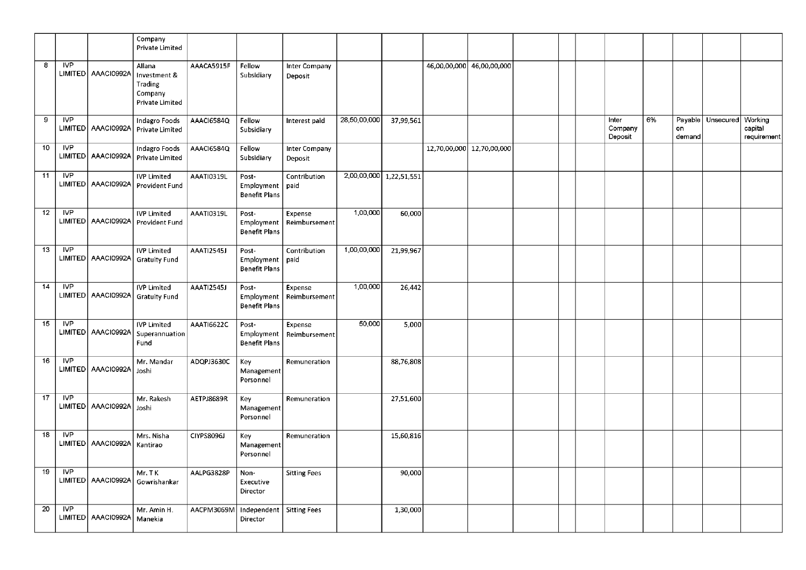|                 |            |                                                         | Company<br>Private Limited                                                    |                                 |                                                     |                                       |              |                                      |                           |  |                  |    |        |                               |             |
|-----------------|------------|---------------------------------------------------------|-------------------------------------------------------------------------------|---------------------------------|-----------------------------------------------------|---------------------------------------|--------------|--------------------------------------|---------------------------|--|------------------|----|--------|-------------------------------|-------------|
| 8               | IVP        | LIMITED   AAACI0992A                                    | <b>Allana</b><br>Investment &<br>Trading<br>Company<br><b>Private Limited</b> | AAACA5915F                      | Fellow<br>Subsidiary                                | <b>Inter Company</b><br>Deposit       |              |                                      | 46,00,00,000 46,00,00,000 |  |                  |    |        |                               |             |
| 9               | IVP        | LIMITED   AAACI0992A                                    | Indagro Foods<br>Private Limited                                              | AAACI6584Q                      | Fellow<br>Subsidiary                                | Interest paid                         | 28,50,00,000 | 37,99,561                            |                           |  | Inter<br>Company | 6% | on     | Payable   Unsecured   Working | capital     |
| 10 <sub>1</sub> | <b>IVP</b> | LIMITED   AAACI0992A                                    | Indagro Foods<br>Private Limited                                              | AAACI6584Q                      | Fellow<br>Subsidiary                                | Inter Company<br>Deposit              |              |                                      | 12,70,00,000 12,70,00,000 |  | Deposit          |    | demand |                               | requirement |
| $-11$           | IVP        | LIMITED   AAACI0992A                                    | <b>IVP Limited</b><br><b>Provident Fund</b>                                   | AAATI0319L                      | Post-<br>Employment   paid<br><b>Benefit Plans</b>  | Contribution                          |              | $\overline{2,00,00,000}$ 1,22,51,551 |                           |  |                  |    |        |                               |             |
| $\overline{12}$ | <b>IVP</b> |                                                         | <b>IVP Limited</b><br>LIMITED AAACI0992A Provident Fund                       | AAATI0319L                      | Post-<br>Benefit Plans                              | Expense<br>Employment   Reimbursement | 1,00,000     | 60,000                               |                           |  |                  |    |        |                               |             |
| 13              | <b>IVP</b> |                                                         | <b>IVP Limited</b><br>LIMITED   AAACI0992A   Gratuity Fund                    | AAATI2545J                      | Post-<br>Employment   paid<br><b>Benefit Plans</b>  | Contribution                          | 1,00,00,000  | 21,99,967                            |                           |  |                  |    |        |                               |             |
| $\overline{14}$ | IVP        |                                                         | <b>IVP Limited</b><br>LIMITED AAACI0992A Gratuity Fund                        | AAATI2545J                      | Post-<br><b>Benefit Plans</b>                       | Expense<br>Employment   Reimbursement | 1,00,000     | 26,442                               |                           |  |                  |    |        |                               |             |
| 15              | IVP        |                                                         | <b>IVP Limited</b><br>LIMITED   AAACI0992A   Superannuation  <br>Fund         | <b>AAATI6622C</b>               | Post-<br>Benefit Plans                              | Expense<br>Employment   Reimbursement | 50,000       | 5,000                                |                           |  |                  |    |        |                               |             |
| 16              | <b>IVP</b> | LIMITED AAACI0992A Joshi                                | Mr. Mandar                                                                    | ADQPJ3630C                      | Key<br>Management<br>Personnel                      | Remuneration                          |              | 88,76,808                            |                           |  |                  |    |        |                               |             |
| 17              | <b>IVP</b> | LIMITED   AAACI0992A   Joshi                            | Mr. Rakesh                                                                    | <b>AETPJ8689R</b>               | Key<br>Management<br>Personnel                      | Remuneration                          |              | 27,51,600                            |                           |  |                  |    |        |                               |             |
| 18<br>19        | IVP<br>IVP | LIMITED   AAACI0992A   Kantirao<br>LIMITED   AAACI0992A | Mrs. Nisha<br>Mr. TK<br>Gowrishankar                                          | <b>CIYPS8096J</b><br>AALPG3828P | Key<br>Management<br>Personnel<br>Non-<br>Executive | Remuneration<br><b>Sitting Fees</b>   |              | 15,60,816<br>90,000                  |                           |  |                  |    |        |                               |             |